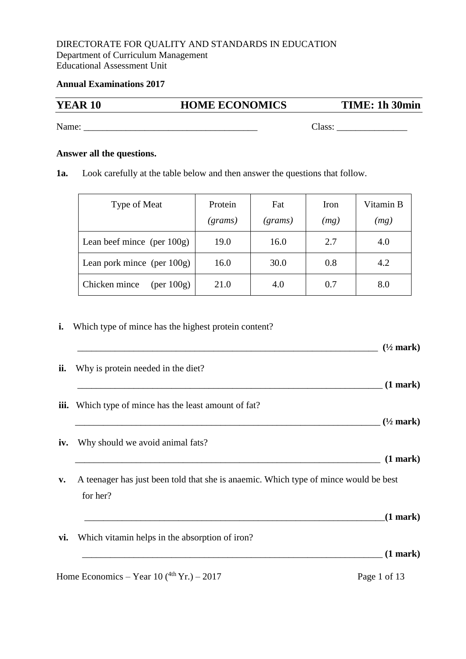### DIRECTORATE FOR QUALITY AND STANDARDS IN EDUCATION Department of Curriculum Management Educational Assessment Unit

### **Annual Examinations 2017**

# **YEAR 10 HOME ECONOMICS TIME: 1h 30min**

Name: \_\_\_\_\_\_\_\_\_\_\_\_\_\_\_\_\_\_\_\_\_\_\_\_\_\_\_\_\_\_\_\_\_\_\_\_\_ Class: \_\_\_\_\_\_\_\_\_\_\_\_\_\_\_

**Answer all the questions.**

**1a.** Look carefully at the table below and then answer the questions that follow.

| Type of Meat                         | Protein<br>(grams) | Fat<br>(grams) | Iron<br>(mg) | Vitamin B<br>(mg) |
|--------------------------------------|--------------------|----------------|--------------|-------------------|
| Lean beef mince (per $100g$ )        | 19.0               | 16.0           | 2.7          | 4.0               |
| Lean pork mince (per $100g$ )        | 16.0               | 30.0           | 0.8          | 4.2               |
| Chicken mince<br>$(\text{per }100g)$ | 21.0               | 4.0            | 0.7          | 8.0               |

**i.** Which type of mince has the highest protein content?

|                |                                                                                      | $(\frac{1}{2}$ mark) |
|----------------|--------------------------------------------------------------------------------------|----------------------|
| ii.            | Why is protein needed in the diet?                                                   |                      |
|                |                                                                                      | $(1$ mark $)$        |
| iii.           | Which type of mince has the least amount of fat?                                     |                      |
|                |                                                                                      | $(1/2 \text{ mark})$ |
| iv.            | Why should we avoid animal fats?                                                     |                      |
|                |                                                                                      | $(1$ mark $)$        |
| $\mathbf{v}$ . | A teenager has just been told that she is anaemic. Which type of mince would be best |                      |
|                | for her?                                                                             |                      |
|                |                                                                                      | $(1$ mark)           |
| vi.            | Which vitamin helps in the absorption of iron?                                       |                      |
|                |                                                                                      | $(1$ mark $)$        |
|                | Home Economics – Year 10 $(^{4th}Yr.) - 2017$                                        | Page 1 of 13         |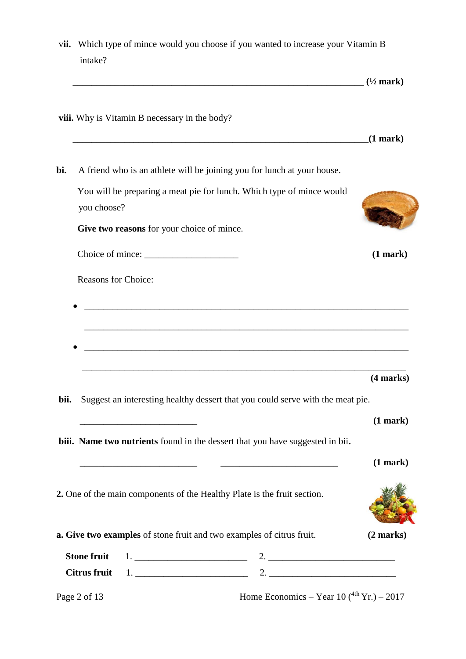| vii. | intake?                    | Which type of mince would you choose if you wanted to increase your Vitamin B                                                                                                                         |               |
|------|----------------------------|-------------------------------------------------------------------------------------------------------------------------------------------------------------------------------------------------------|---------------|
|      |                            | $(1/2 \text{ mark})$                                                                                                                                                                                  |               |
|      |                            | viii. Why is Vitamin B necessary in the body?<br><u> 1999 - Jan Samuel Barbara, marka a shekara ta 1999 - An tsara tsa a shekara tsa 1999 - An tsa a shekara tsa 1</u>                                | $(1$ mark $)$ |
| bi.  |                            | A friend who is an athlete will be joining you for lunch at your house.                                                                                                                               |               |
|      | you choose?                | You will be preparing a meat pie for lunch. Which type of mince would                                                                                                                                 |               |
|      |                            | Give two reasons for your choice of mince.                                                                                                                                                            |               |
|      |                            |                                                                                                                                                                                                       | (1 mark)      |
|      | <b>Reasons for Choice:</b> |                                                                                                                                                                                                       |               |
|      |                            |                                                                                                                                                                                                       | (4 marks)     |
| bii. |                            | Suggest an interesting healthy dessert that you could serve with the meat pie.                                                                                                                        |               |
|      |                            | <u> 1989 - Johann John Stone, mars eta bat eta bat eta bat eta bat eta bat eta bat eta bat eta bat eta bat eta b</u><br>biii. Name two nutrients found in the dessert that you have suggested in bii. | (1 mark)      |
|      |                            |                                                                                                                                                                                                       |               |
|      |                            | <u> 2000 - Andrea Andrew Maria (h. 1888).</u>                                                                                                                                                         | (1 mark)      |
|      |                            | 2. One of the main components of the Healthy Plate is the fruit section.                                                                                                                              |               |
|      |                            | a. Give two examples of stone fruit and two examples of citrus fruit.                                                                                                                                 | $(2$ marks)   |
|      | <b>Stone fruit</b>         |                                                                                                                                                                                                       |               |

Page 2 of 13 Home Economics – Year  $10(^{4th}Yr.) - 2017$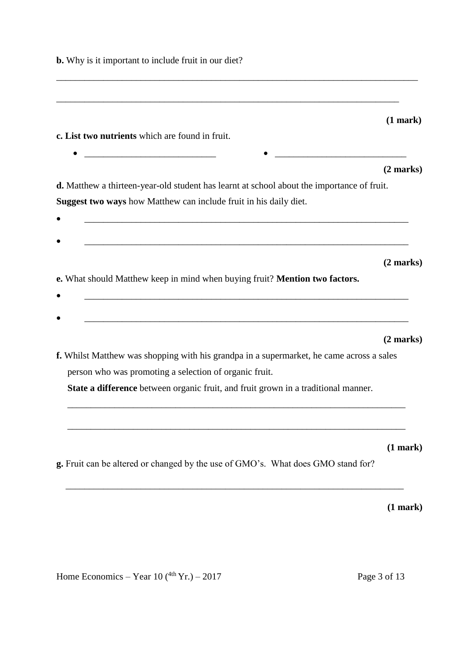| <b>b.</b> Why is it important to include fruit in our diet?                                                                                                                                                                                         |                     |
|-----------------------------------------------------------------------------------------------------------------------------------------------------------------------------------------------------------------------------------------------------|---------------------|
|                                                                                                                                                                                                                                                     |                     |
|                                                                                                                                                                                                                                                     | (1 mark)            |
| c. List two nutrients which are found in fruit.                                                                                                                                                                                                     |                     |
|                                                                                                                                                                                                                                                     | $(2 \text{ marks})$ |
| d. Matthew a thirteen-year-old student has learnt at school about the importance of fruit.<br>Suggest two ways how Matthew can include fruit in his daily diet.<br>,我们也不会有什么。""我们的人,我们也不会有什么?""我们的人,我们也不会有什么?""我们的人,我们也不会有什么?""我们的人,我们也不会有什么?""我们的人 |                     |
| e. What should Matthew keep in mind when buying fruit? Mention two factors.                                                                                                                                                                         | $(2 \text{ marks})$ |
|                                                                                                                                                                                                                                                     |                     |
|                                                                                                                                                                                                                                                     | $(2 \text{ marks})$ |
| f. Whilst Matthew was shopping with his grandpa in a supermarket, he came across a sales<br>person who was promoting a selection of organic fruit.                                                                                                  |                     |
| State a difference between organic fruit, and fruit grown in a traditional manner.                                                                                                                                                                  |                     |
| g. Fruit can be altered or changed by the use of GMO's. What does GMO stand for?                                                                                                                                                                    | (1 mark)            |
|                                                                                                                                                                                                                                                     | (1 mark)            |

Home Economics – Year  $10(^{4th}Yr.) - 2017$  Page 3 of 13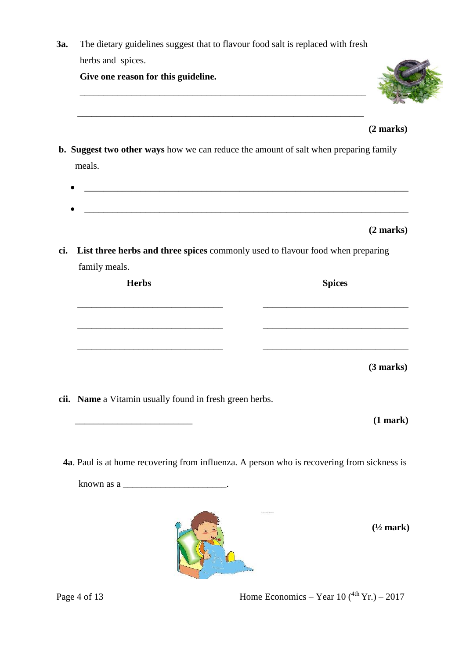| The dietary guidelines suggest that to flavour food salt is replaced with fresh |                                                                                                                                                     |
|---------------------------------------------------------------------------------|-----------------------------------------------------------------------------------------------------------------------------------------------------|
| herbs and spices.                                                               |                                                                                                                                                     |
| Give one reason for this guideline.                                             |                                                                                                                                                     |
|                                                                                 | (2 marks)                                                                                                                                           |
|                                                                                 | <b>b.</b> Suggest two other ways how we can reduce the amount of salt when preparing family                                                         |
|                                                                                 |                                                                                                                                                     |
|                                                                                 |                                                                                                                                                     |
|                                                                                 |                                                                                                                                                     |
|                                                                                 |                                                                                                                                                     |
|                                                                                 | (2 marks)                                                                                                                                           |
|                                                                                 |                                                                                                                                                     |
| family meals.                                                                   |                                                                                                                                                     |
| <b>Herbs</b>                                                                    | <b>Spices</b>                                                                                                                                       |
|                                                                                 |                                                                                                                                                     |
|                                                                                 |                                                                                                                                                     |
|                                                                                 |                                                                                                                                                     |
|                                                                                 |                                                                                                                                                     |
|                                                                                 | (3 marks)                                                                                                                                           |
|                                                                                 |                                                                                                                                                     |
|                                                                                 |                                                                                                                                                     |
|                                                                                 |                                                                                                                                                     |
|                                                                                 | meals.<br>List three herbs and three spices commonly used to flavour food when preparing<br>cii. Name a Vitamin usually found in fresh green herbs. |

**4a**. Paul is at home recovering from influenza. A person who is recovering from sickness is

known as a  $\equiv$ 



**(½ mark)**

Page 4 of 13 Home Economics – Year 10 ( $^{4th}$  Yr.) – 2017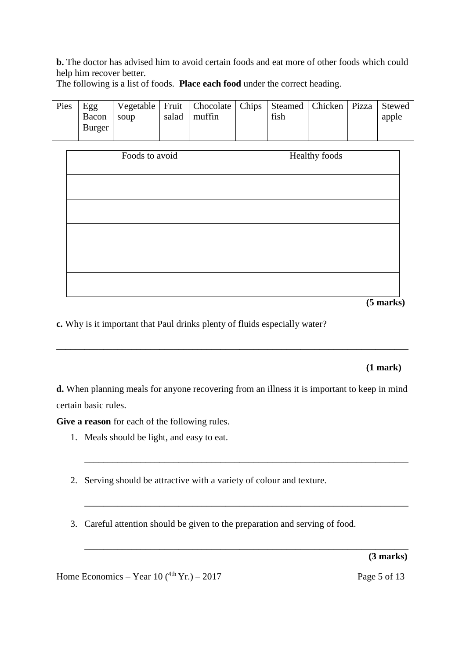**b.** The doctor has advised him to avoid certain foods and eat more of other foods which could help him recover better.

| Pies | Egg    |      |       | Vegetable   Fruit   Chocolate   Chips   Steamed   Chicken   Pizza   Stewed |      |  |       |
|------|--------|------|-------|----------------------------------------------------------------------------|------|--|-------|
|      | Bacon  | soup | salad | muffin                                                                     | fish |  | apple |
|      | Burger |      |       |                                                                            |      |  |       |
|      |        |      |       |                                                                            |      |  |       |

The following is a list of foods. **Place each food** under the correct heading.

| Foods to avoid | Healthy foods |
|----------------|---------------|
|                |               |
|                |               |
|                |               |
|                |               |
|                |               |
|                |               |

**(5 marks)**

**c.** Why is it important that Paul drinks plenty of fluids especially water?

## **(1 mark)**

**d.** When planning meals for anyone recovering from an illness it is important to keep in mind certain basic rules.

\_\_\_\_\_\_\_\_\_\_\_\_\_\_\_\_\_\_\_\_\_\_\_\_\_\_\_\_\_\_\_\_\_\_\_\_\_\_\_\_\_\_\_\_\_\_\_\_\_\_\_\_\_\_\_\_\_\_\_\_\_\_\_\_\_\_\_\_\_

\_\_\_\_\_\_\_\_\_\_\_\_\_\_\_\_\_\_\_\_\_\_\_\_\_\_\_\_\_\_\_\_\_\_\_\_\_\_\_\_\_\_\_\_\_\_\_\_\_\_\_\_\_\_\_\_\_\_\_\_\_\_\_\_\_\_\_\_\_

\_\_\_\_\_\_\_\_\_\_\_\_\_\_\_\_\_\_\_\_\_\_\_\_\_\_\_\_\_\_\_\_\_\_\_\_\_\_\_\_\_\_\_\_\_\_\_\_\_\_\_\_\_\_\_\_\_\_\_\_\_\_\_\_\_\_\_\_\_\_\_\_\_\_\_

**Give a reason** for each of the following rules.

- 1. Meals should be light, and easy to eat.
- 2. Serving should be attractive with a variety of colour and texture.
- 3. Careful attention should be given to the preparation and serving of food.

\_\_\_\_\_\_\_\_\_\_\_\_\_\_\_\_\_\_\_\_\_\_\_\_\_\_\_\_\_\_\_\_\_\_\_\_\_\_\_\_\_\_\_\_\_\_\_\_\_\_\_\_\_\_\_\_\_\_\_\_\_\_\_\_\_\_\_\_\_ **(3 marks)**

Home Economics – Year  $10(^{4th}Yr.) - 2017$  Page 5 of 13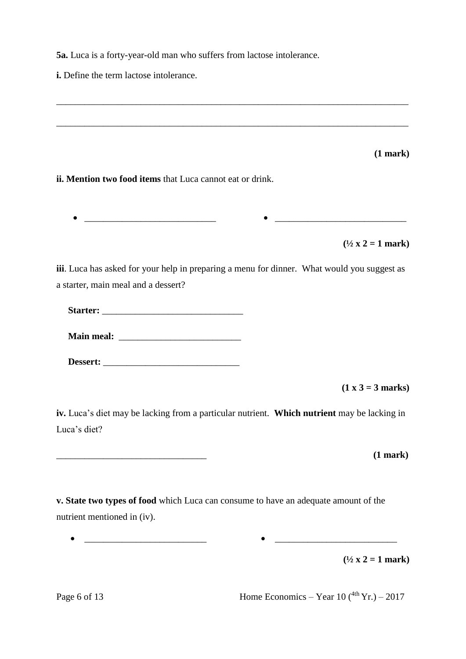**5a.** Luca is a forty-year-old man who suffers from lactose intolerance.

**i.** Define the term lactose intolerance.

**(1 mark)**

**ii. Mention two food items** that Luca cannot eat or drink.

\_\_\_\_\_\_\_\_\_\_\_\_\_\_\_\_\_\_\_\_\_\_\_\_\_\_\_\_ \_\_\_\_\_\_\_\_\_\_\_\_\_\_\_\_\_\_\_\_\_\_\_\_\_\_\_\_

\_\_\_\_\_\_\_\_\_\_\_\_\_\_\_\_\_\_\_\_\_\_\_\_\_\_\_\_\_\_\_\_\_\_\_\_\_\_\_\_\_\_\_\_\_\_\_\_\_\_\_\_\_\_\_\_\_\_\_\_\_\_\_\_\_\_\_\_\_\_\_\_\_\_\_

\_\_\_\_\_\_\_\_\_\_\_\_\_\_\_\_\_\_\_\_\_\_\_\_\_\_\_\_\_\_\_\_\_\_\_\_\_\_\_\_\_\_\_\_\_\_\_\_\_\_\_\_\_\_\_\_\_\_\_\_\_\_\_\_\_\_\_\_\_\_\_\_\_\_\_

 $(1/2 x 2 = 1 mark)$ 

**iii**. Luca has asked for your help in preparing a menu for dinner. What would you suggest as a starter, main meal and a dessert?

**Starter:** \_\_\_\_\_\_\_\_\_\_\_\_\_\_\_\_\_\_\_\_\_\_\_\_\_\_\_\_\_\_

**Main meal:** \_\_\_\_\_\_\_\_\_\_\_\_\_\_\_\_\_\_\_\_\_\_\_\_\_\_

Dessert:

**(1 x 3 = 3 marks)**

**iv.** Luca's diet may be lacking from a particular nutrient. **Which nutrient** may be lacking in Luca's diet?

\_\_\_\_\_\_\_\_\_\_\_\_\_\_\_\_\_\_\_\_\_\_\_\_\_\_\_\_\_\_\_\_ **(1 mark)**

**v. State two types of food** which Luca can consume to have an adequate amount of the nutrient mentioned in (iv).

 $\bullet$   $\_\_\_\_\_\_\_\_$ 

 $(1/2 x 2 = 1 mark)$ 

Page 6 of 13 Home Economics – Year 10  $(^{4th}$  Yr.) – 2017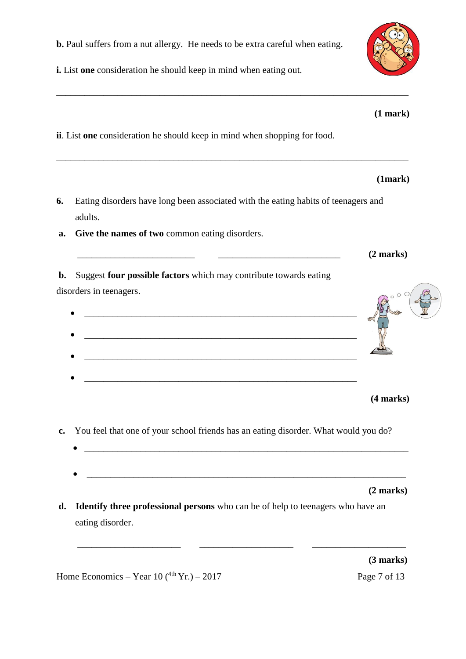$\bullet$   $\overbrace{\phantom{xx}$   $\phantom{xx}$   $\phantom{xx}$   $\phantom{xx}$   $\phantom{xx}$   $\phantom{xx}$   $\phantom{xx}$   $\phantom{xx}$   $\phantom{xx}$   $\phantom{xx}$   $\phantom{xx}$   $\phantom{xx}$   $\phantom{xx}$   $\phantom{xx}$   $\phantom{xx}$   $\phantom{xx}$   $\phantom{xx}$   $\phantom{xx}$   $\phantom{xx}$   $\phantom{xx}$   $\phantom{xx}$   $\phantom{xx}$   $\phantom{xx}$   $\phantom{xx$ 

**c.** You feel that one of your school friends has an eating disorder. What would you do?

**d. Identify three professional persons** who can be of help to teenagers who have an eating disorder.

Home Economics – Year  $10(^{4th}Yr.) - 2017$  Page 7 of 13

**i.** List **one** consideration he should keep in mind when eating out.

**b.** Paul suffers from a nut allergy. He needs to be extra careful when eating.

**ii**. List **one** consideration he should keep in mind when shopping for food.

- **6.** Eating disorders have long been associated with the eating habits of teenagers and adults.
- 
- disorders in teenagers.  $\mathcal{L}_\text{max}$
- 

\_\_\_\_\_\_\_\_\_\_\_\_\_\_\_\_\_\_\_\_\_\_\_\_\_\_\_\_\_\_\_\_\_\_\_\_\_\_\_\_\_\_\_\_\_\_\_\_\_\_\_\_\_\_\_\_\_\_\_\_\_\_\_\_\_\_\_\_\_\_\_\_\_\_\_

- **a. Give the names of two** common eating disorders.
- **b.** Suggest **four possible factors** which may contribute towards eating



**(1 mark)** 

**(1mark)** 

\_\_\_\_\_\_\_\_\_\_\_\_\_\_\_\_\_\_\_\_\_\_ \_\_\_\_\_\_\_\_\_\_\_\_\_\_\_\_\_\_\_\_ \_\_\_\_\_\_\_\_\_\_\_\_\_\_\_\_\_\_\_\_

 **(3 marks)**

 **(2 marks)**

\_\_\_\_\_\_\_\_\_\_\_\_\_\_\_\_\_\_\_\_\_\_\_\_\_ \_\_\_\_\_\_\_\_\_\_\_\_\_\_\_\_\_\_\_\_\_\_\_\_\_\_ **(2 marks)**

**(4 marks)**



\_\_\_\_\_\_\_\_\_\_\_\_\_\_\_\_\_\_\_\_\_\_\_\_\_\_\_\_\_\_\_\_\_\_\_\_\_\_\_\_\_\_\_\_\_\_\_\_\_\_\_\_\_\_\_\_\_\_\_\_\_\_\_\_\_\_\_\_\_\_\_\_\_\_\_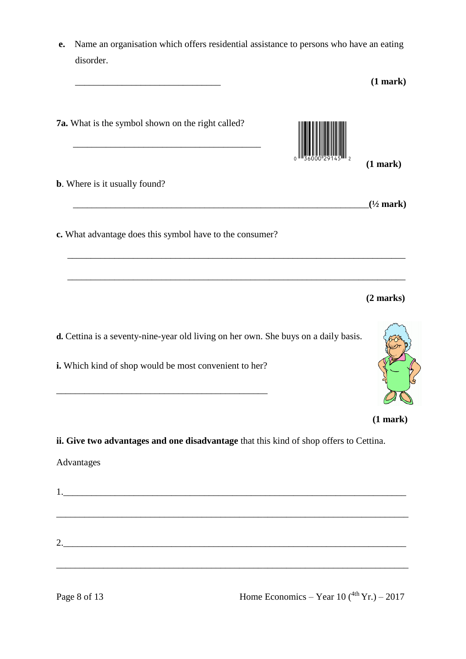**e.** Name an organisation which offers residential assistance to persons who have an eating disorder.

| 7a. What is the symbol shown on the right called?                                                                                                                                        | (1 mark)<br>$(1/2$ mark) |
|------------------------------------------------------------------------------------------------------------------------------------------------------------------------------------------|--------------------------|
| <b>b</b> . Where is it usually found?<br>c. What advantage does this symbol have to the consumer?<br>d. Cettina is a seventy-nine-year old living on her own. She buys on a daily basis. |                          |
|                                                                                                                                                                                          |                          |
|                                                                                                                                                                                          |                          |
|                                                                                                                                                                                          |                          |
|                                                                                                                                                                                          | (2 marks)                |
| i. Which kind of shop would be most convenient to her?                                                                                                                                   |                          |
|                                                                                                                                                                                          | (1 mark)                 |
| ii. Give two advantages and one disadvantage that this kind of shop offers to Cettina.                                                                                                   |                          |
| Advantages                                                                                                                                                                               |                          |
| 1.                                                                                                                                                                                       |                          |
|                                                                                                                                                                                          |                          |
|                                                                                                                                                                                          |                          |
| 2.                                                                                                                                                                                       |                          |

Page 8 of 13 Home Economics – Year 10  $(^{4th}$  Yr.) – 2017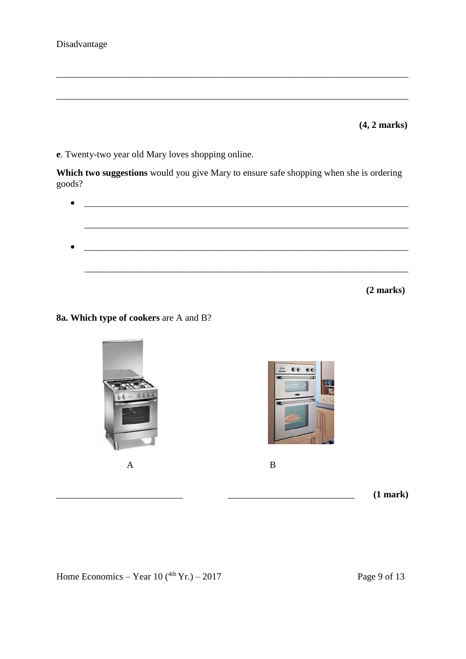### Disadvantage

**(4, 2 marks)**

**e**. Twenty-two year old Mary loves shopping online.

**Which two suggestions** would you give Mary to ensure safe shopping when she is ordering goods?

\_\_\_\_\_\_\_\_\_\_\_\_\_\_\_\_\_\_\_\_\_\_\_\_\_\_\_\_\_\_\_\_\_\_\_\_\_\_\_\_\_\_\_\_\_\_\_\_\_\_\_\_\_\_\_\_\_\_\_\_\_\_\_\_\_\_\_\_\_\_\_\_\_\_\_

\_\_\_\_\_\_\_\_\_\_\_\_\_\_\_\_\_\_\_\_\_\_\_\_\_\_\_\_\_\_\_\_\_\_\_\_\_\_\_\_\_\_\_\_\_\_\_\_\_\_\_\_\_\_\_\_\_\_\_\_\_\_\_\_\_\_\_\_\_\_\_\_\_\_\_



```
(2 marks)
```
**8a. Which type of cookers** are A and B?



Home Economics – Year  $10(^{4th}Yr.) - 2017$  Page 9 of 13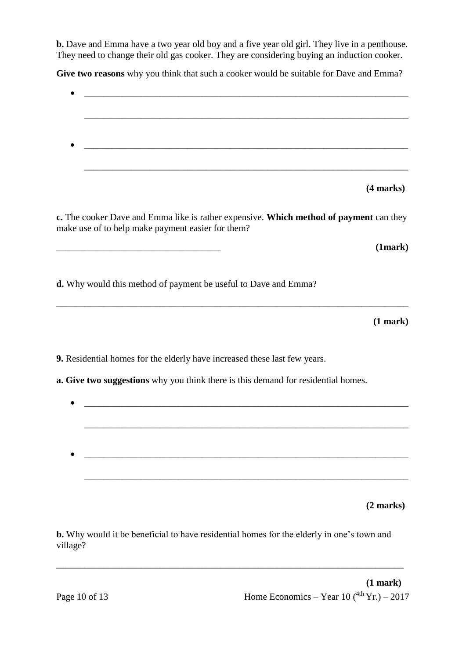**b.** Dave and Emma have a two year old boy and a five year old girl. They live in a penthouse. They need to change their old gas cooker. They are considering buying an induction cooker.

Give two reasons why you think that such a cooker would be suitable for Dave and Emma?

| (4 marks)                                                                                                                                   |  |
|---------------------------------------------------------------------------------------------------------------------------------------------|--|
| c. The cooker Dave and Emma like is rather expensive. Which method of payment can they<br>make use of to help make payment easier for them? |  |
| (1mark)                                                                                                                                     |  |
| d. Why would this method of payment be useful to Dave and Emma?                                                                             |  |
| (1 mark)                                                                                                                                    |  |
| 9. Residential homes for the elderly have increased these last few years.                                                                   |  |
| a. Give two suggestions why you think there is this demand for residential homes.                                                           |  |
|                                                                                                                                             |  |
|                                                                                                                                             |  |
|                                                                                                                                             |  |
|                                                                                                                                             |  |
|                                                                                                                                             |  |
|                                                                                                                                             |  |

**(2 marks)**

**b.** Why would it be beneficial to have residential homes for the elderly in one's town and village?

\_\_\_\_\_\_\_\_\_\_\_\_\_\_\_\_\_\_\_\_\_\_\_\_\_\_\_\_\_\_\_\_\_\_\_\_\_\_\_\_\_\_\_\_\_\_\_\_\_\_\_\_\_\_\_\_\_\_\_\_\_\_\_\_\_\_\_\_\_\_\_\_\_\_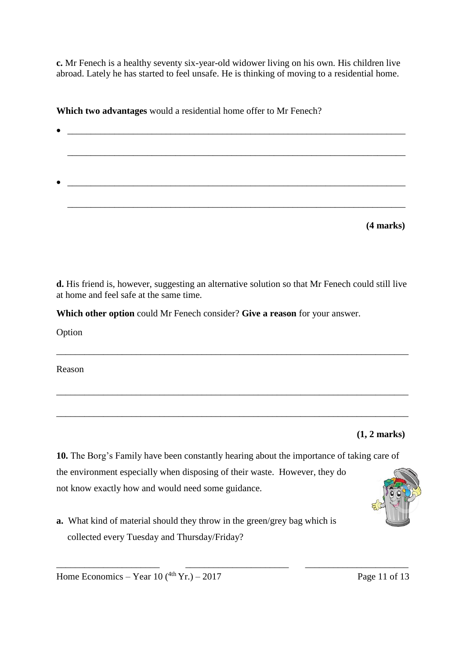**c.** Mr Fenech is a healthy seventy six-year-old widower living on his own. His children live abroad. Lately he has started to feel unsafe. He is thinking of moving to a residential home.

**Which two advantages** would a residential home offer to Mr Fenech?

| $\bullet$ |           |
|-----------|-----------|
|           |           |
|           |           |
|           |           |
|           |           |
| $\bullet$ |           |
|           |           |
|           |           |
|           |           |
|           | (4 marks) |

**d.** His friend is, however, suggesting an alternative solution so that Mr Fenech could still live at home and feel safe at the same time.

\_\_\_\_\_\_\_\_\_\_\_\_\_\_\_\_\_\_\_\_\_\_\_\_\_\_\_\_\_\_\_\_\_\_\_\_\_\_\_\_\_\_\_\_\_\_\_\_\_\_\_\_\_\_\_\_\_\_\_\_\_\_\_\_\_\_\_\_\_\_\_\_\_\_\_

\_\_\_\_\_\_\_\_\_\_\_\_\_\_\_\_\_\_\_\_\_\_\_\_\_\_\_\_\_\_\_\_\_\_\_\_\_\_\_\_\_\_\_\_\_\_\_\_\_\_\_\_\_\_\_\_\_\_\_\_\_\_\_\_\_\_\_\_\_\_\_\_\_\_\_

\_\_\_\_\_\_\_\_\_\_\_\_\_\_\_\_\_\_\_\_\_\_\_\_\_\_\_\_\_\_\_\_\_\_\_\_\_\_\_\_\_\_\_\_\_\_\_\_\_\_\_\_\_\_\_\_\_\_\_\_\_\_\_\_\_\_\_\_\_\_\_\_\_\_\_

**Which other option** could Mr Fenech consider? **Give a reason** for your answer.

Option

Reason

**(1, 2 marks)**

**10.** The Borg's Family have been constantly hearing about the importance of taking care of the environment especially when disposing of their waste. However, they do not know exactly how and would need some guidance.

\_\_\_\_\_\_\_\_\_\_\_\_\_\_\_\_\_\_\_\_\_\_ \_\_\_\_\_\_\_\_\_\_\_\_\_\_\_\_\_\_\_\_\_\_ \_\_\_\_\_\_\_\_\_\_\_\_\_\_\_\_\_\_\_\_\_\_

**a.** What kind of material should they throw in the green/grey bag which is collected every Tuesday and Thursday/Friday?



Home Economics – Year  $10(^{4th}Yr.) - 2017$  Page 11 of 13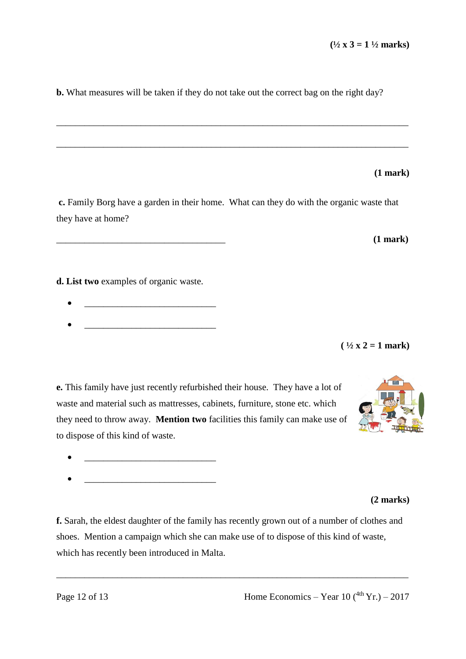**b.** What measures will be taken if they do not take out the correct bag on the right day?

\_\_\_\_\_\_\_\_\_\_\_\_\_\_\_\_\_\_\_\_\_\_\_\_\_\_\_\_\_\_\_\_\_\_\_\_\_\_\_\_\_\_\_\_\_\_\_\_\_\_\_\_\_\_\_\_\_\_\_\_\_\_\_\_\_\_\_\_\_\_\_\_\_\_\_

\_\_\_\_\_\_\_\_\_\_\_\_\_\_\_\_\_\_\_\_\_\_\_\_\_\_\_\_\_\_\_\_\_\_\_\_\_\_\_\_\_\_\_\_\_\_\_\_\_\_\_\_\_\_\_\_\_\_\_\_\_\_\_\_\_\_\_\_\_\_\_\_\_\_\_

### **(1 mark)**

**c.** Family Borg have a garden in their home. What can they do with the organic waste that they have at home?

**d. List two** examples of organic waste.

- 
- $\bullet$   $\qquad \qquad$   $\qquad \qquad$   $\qquad$   $\qquad$   $\qquad$   $\qquad$   $\qquad$   $\qquad$   $\qquad$   $\qquad$   $\qquad$   $\qquad$   $\qquad$   $\qquad$   $\qquad$   $\qquad$   $\qquad$   $\qquad$   $\qquad$   $\qquad$   $\qquad$   $\qquad$   $\qquad$   $\qquad$   $\qquad$   $\qquad$   $\qquad$   $\qquad$   $\qquad$   $\qquad$   $\qquad$   $\qquad$   $\qquad$   $\qquad$   $\qquad$

**e.** This family have just recently refurbished their house. They have a lot of waste and material such as mattresses, cabinets, furniture, stone etc. which they need to throw away. **Mention two** facilities this family can make use of to dispose of this kind of waste.

- $\mathcal{L}_\text{max}$
- $\bullet$   $\qquad \qquad$   $\qquad \qquad$   $\qquad$   $\qquad$   $\qquad$   $\qquad$   $\qquad$   $\qquad$   $\qquad$   $\qquad$   $\qquad$   $\qquad$   $\qquad$   $\qquad$   $\qquad$   $\qquad$   $\qquad$   $\qquad$   $\qquad$   $\qquad$   $\qquad$   $\qquad$   $\qquad$   $\qquad$   $\qquad$   $\qquad$   $\qquad$   $\qquad$   $\qquad$   $\qquad$   $\qquad$   $\qquad$   $\qquad$   $\qquad$   $\qquad$

#### **(2 marks)**

**f.** Sarah, the eldest daughter of the family has recently grown out of a number of clothes and shoes. Mention a campaign which she can make use of to dispose of this kind of waste, which has recently been introduced in Malta.

\_\_\_\_\_\_\_\_\_\_\_\_\_\_\_\_\_\_\_\_\_\_\_\_\_\_\_\_\_\_\_\_\_\_\_\_\_\_\_\_\_\_\_\_\_\_\_\_\_\_\_\_\_\_\_\_\_\_\_\_\_\_\_\_\_\_\_\_\_\_\_\_\_\_\_



 $( \frac{1}{2} x 2 = 1$  mark)

\_\_\_\_\_\_\_\_\_\_\_\_\_\_\_\_\_\_\_\_\_\_\_\_\_\_\_\_\_\_\_\_\_\_\_\_ **(1 mark)**